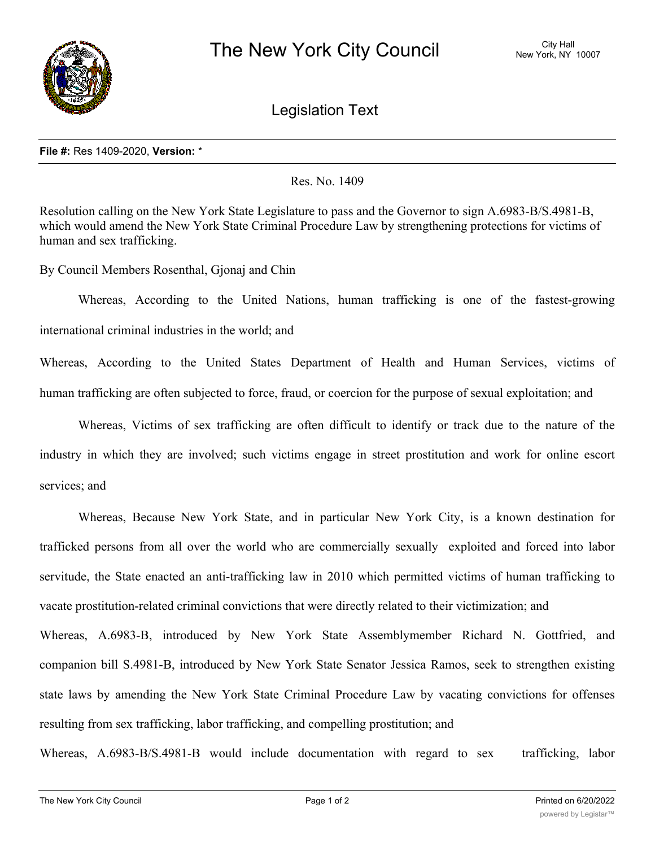

Legislation Text

## **File #:** Res 1409-2020, **Version:** \*

Res. No. 1409

Resolution calling on the New York State Legislature to pass and the Governor to sign A.6983-B/S.4981-B, which would amend the New York State Criminal Procedure Law by strengthening protections for victims of human and sex trafficking.

By Council Members Rosenthal, Gjonaj and Chin

Whereas, According to the United Nations, human trafficking is one of the fastest-growing international criminal industries in the world; and

Whereas, According to the United States Department of Health and Human Services, victims of human trafficking are often subjected to force, fraud, or coercion for the purpose of sexual exploitation; and

Whereas, Victims of sex trafficking are often difficult to identify or track due to the nature of the industry in which they are involved; such victims engage in street prostitution and work for online escort services; and

Whereas, Because New York State, and in particular New York City, is a known destination for trafficked persons from all over the world who are commercially sexually exploited and forced into labor servitude, the State enacted an anti-trafficking law in 2010 which permitted victims of human trafficking to vacate prostitution-related criminal convictions that were directly related to their victimization; and

Whereas, A.6983-B, introduced by New York State Assemblymember Richard N. Gottfried, and companion bill S.4981-B, introduced by New York State Senator Jessica Ramos, seek to strengthen existing state laws by amending the New York State Criminal Procedure Law by vacating convictions for offenses resulting from sex trafficking, labor trafficking, and compelling prostitution; and

Whereas, A.6983-B/S.4981-B would include documentation with regard to sex trafficking, labor